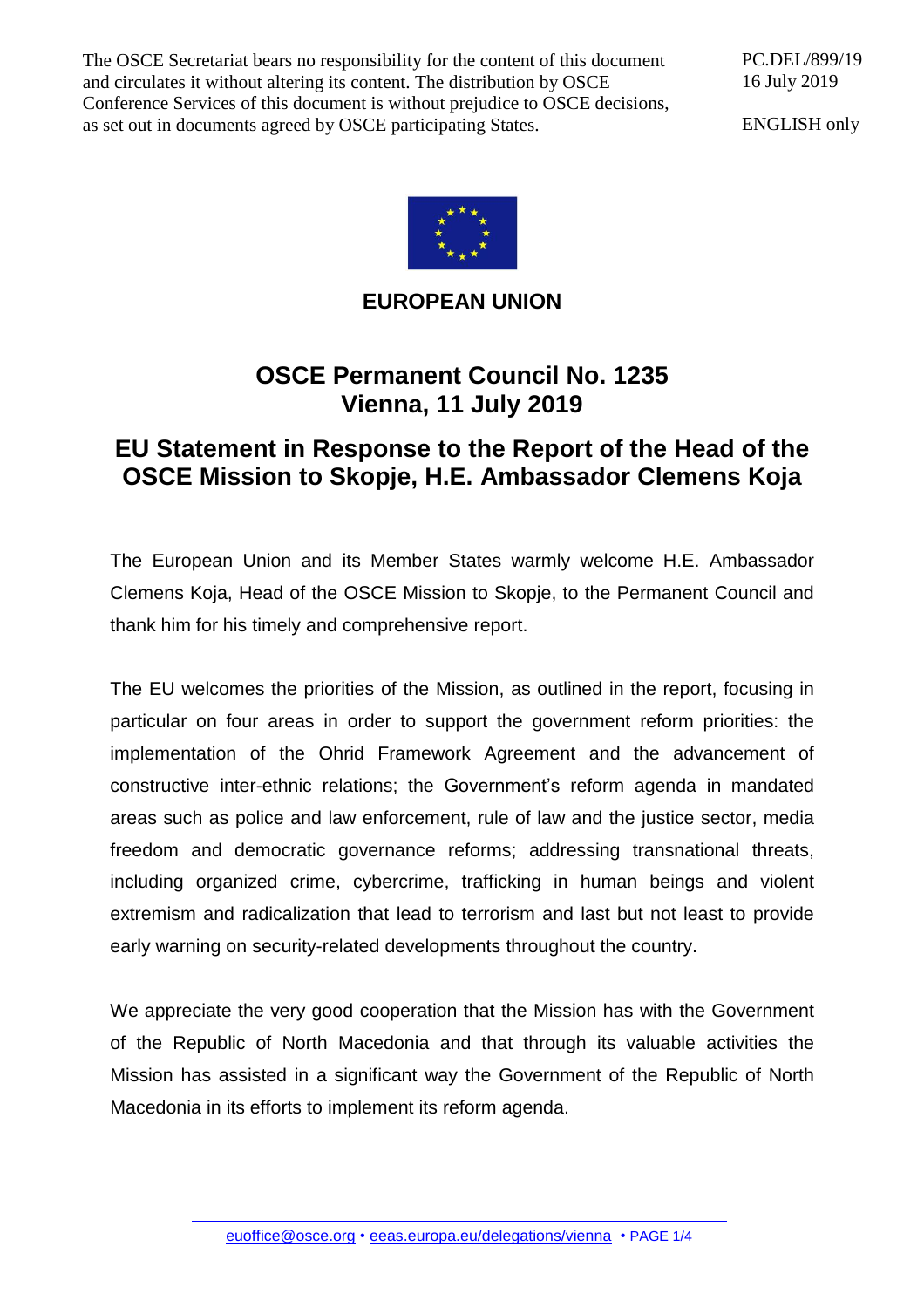The OSCE Secretariat bears no responsibility for the content of this document and circulates it without altering its content. The distribution by OSCE Conference Services of this document is without prejudice to OSCE decisions, as set out in documents agreed by OSCE participating States.

PC.DEL/899/19 16 July 2019

ENGLISH only



## **EUROPEAN UNION**

## **OSCE Permanent Council No. 1235 Vienna, 11 July 2019**

## **EU Statement in Response to the Report of the Head of the OSCE Mission to Skopje, H.E. Ambassador Clemens Koja**

The European Union and its Member States warmly welcome H.E. Ambassador Clemens Koja, Head of the OSCE Mission to Skopje, to the Permanent Council and thank him for his timely and comprehensive report.

The EU welcomes the priorities of the Mission, as outlined in the report, focusing in particular on four areas in order to support the government reform priorities: the implementation of the Ohrid Framework Agreement and the advancement of constructive inter-ethnic relations; the Government's reform agenda in mandated areas such as police and law enforcement, rule of law and the justice sector, media freedom and democratic governance reforms; addressing transnational threats, including organized crime, cybercrime, trafficking in human beings and violent extremism and radicalization that lead to terrorism and last but not least to provide early warning on security-related developments throughout the country.

We appreciate the very good cooperation that the Mission has with the Government of the Republic of North Macedonia and that through its valuable activities the Mission has assisted in a significant way the Government of the Republic of North Macedonia in its efforts to implement its reform agenda.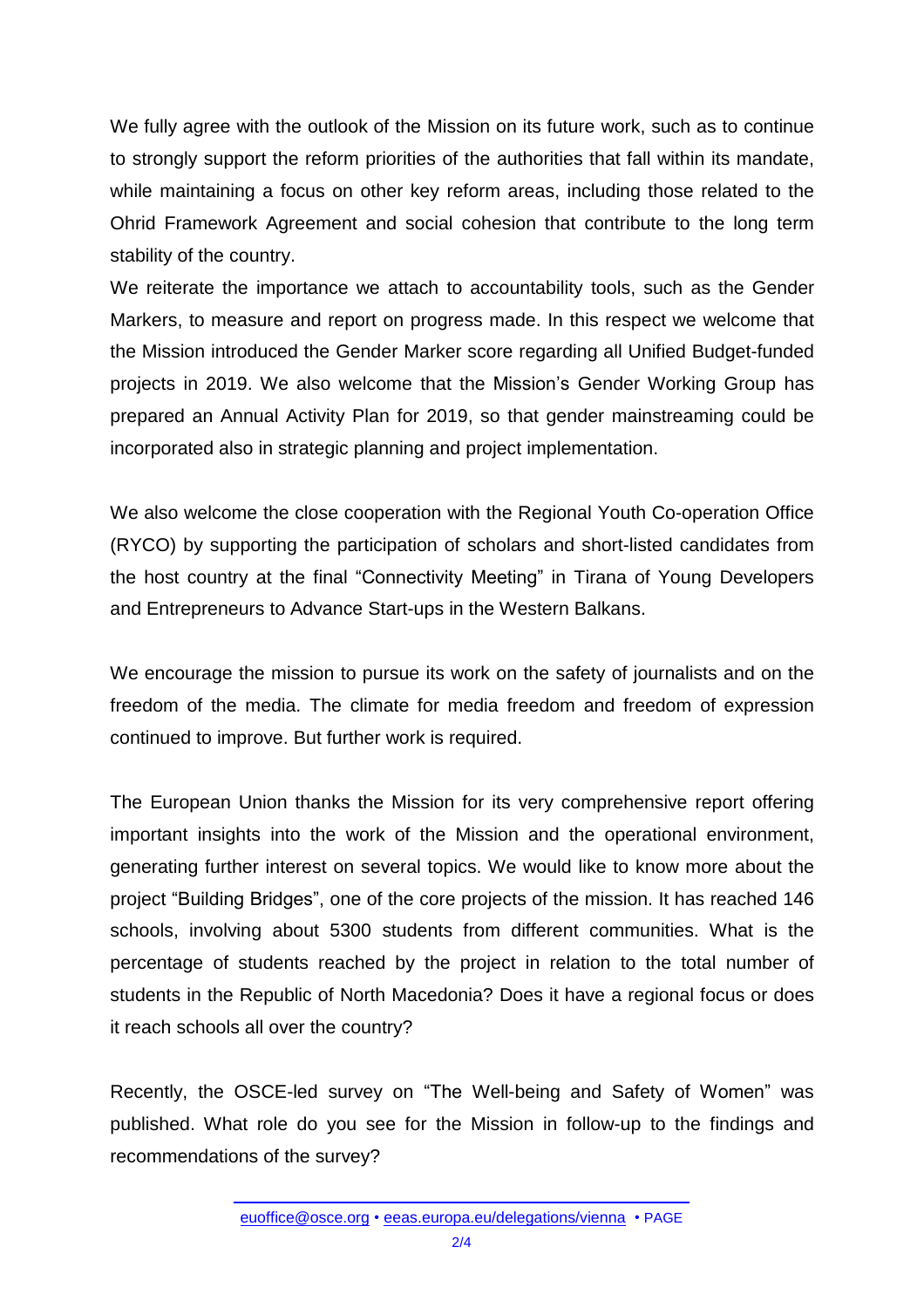We fully agree with the outlook of the Mission on its future work, such as to continue to strongly support the reform priorities of the authorities that fall within its mandate, while maintaining a focus on other key reform areas, including those related to the Ohrid Framework Agreement and social cohesion that contribute to the long term stability of the country.

We reiterate the importance we attach to accountability tools, such as the Gender Markers, to measure and report on progress made. In this respect we welcome that the Mission introduced the Gender Marker score regarding all Unified Budget-funded projects in 2019. We also welcome that the Mission's Gender Working Group has prepared an Annual Activity Plan for 2019, so that gender mainstreaming could be incorporated also in strategic planning and project implementation.

We also welcome the close cooperation with the Regional Youth Co-operation Office (RYCO) by supporting the participation of scholars and short-listed candidates from the host country at the final "Connectivity Meeting" in Tirana of Young Developers and Entrepreneurs to Advance Start-ups in the Western Balkans.

We encourage the mission to pursue its work on the safety of journalists and on the freedom of the media. The climate for media freedom and freedom of expression continued to improve. But further work is required.

The European Union thanks the Mission for its very comprehensive report offering important insights into the work of the Mission and the operational environment, generating further interest on several topics. We would like to know more about the project "Building Bridges", one of the core projects of the mission. It has reached 146 schools, involving about 5300 students from different communities. What is the percentage of students reached by the project in relation to the total number of students in the Republic of North Macedonia? Does it have a regional focus or does it reach schools all over the country?

Recently, the OSCE-led survey on "The Well-being and Safety of Women" was published. What role do you see for the Mission in follow-up to the findings and recommendations of the survey?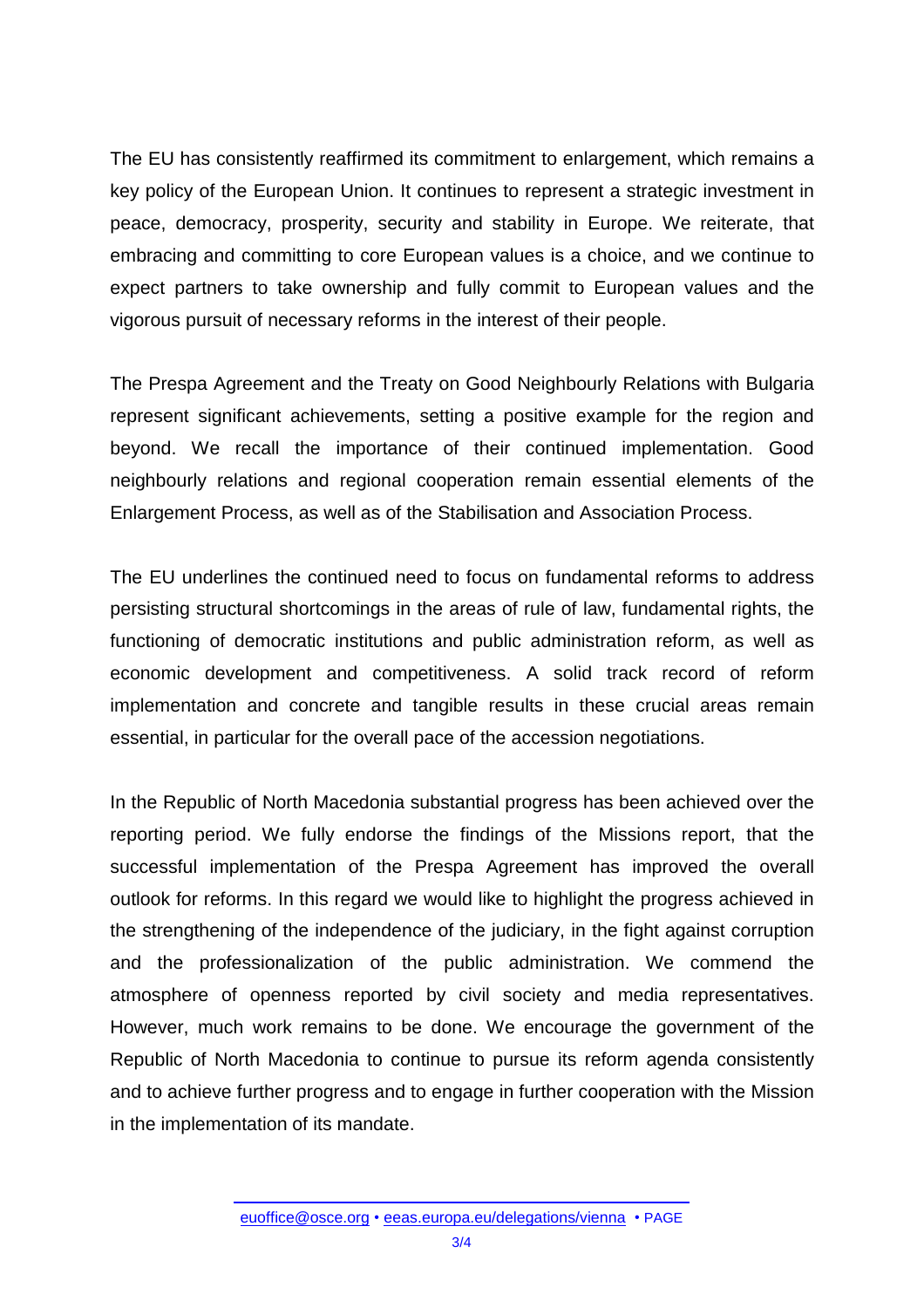The EU has consistently reaffirmed its commitment to enlargement, which remains a key policy of the European Union. It continues to represent a strategic investment in peace, democracy, prosperity, security and stability in Europe. We reiterate, that embracing and committing to core European values is a choice, and we continue to expect partners to take ownership and fully commit to European values and the vigorous pursuit of necessary reforms in the interest of their people.

The Prespa Agreement and the Treaty on Good Neighbourly Relations with Bulgaria represent significant achievements, setting a positive example for the region and beyond. We recall the importance of their continued implementation. Good neighbourly relations and regional cooperation remain essential elements of the Enlargement Process, as well as of the Stabilisation and Association Process.

The EU underlines the continued need to focus on fundamental reforms to address persisting structural shortcomings in the areas of rule of law, fundamental rights, the functioning of democratic institutions and public administration reform, as well as economic development and competitiveness. A solid track record of reform implementation and concrete and tangible results in these crucial areas remain essential, in particular for the overall pace of the accession negotiations.

In the Republic of North Macedonia substantial progress has been achieved over the reporting period. We fully endorse the findings of the Missions report, that the successful implementation of the Prespa Agreement has improved the overall outlook for reforms. In this regard we would like to highlight the progress achieved in the strengthening of the independence of the judiciary, in the fight against corruption and the professionalization of the public administration. We commend the atmosphere of openness reported by civil society and media representatives. However, much work remains to be done. We encourage the government of the Republic of North Macedonia to continue to pursue its reform agenda consistently and to achieve further progress and to engage in further cooperation with the Mission in the implementation of its mandate.